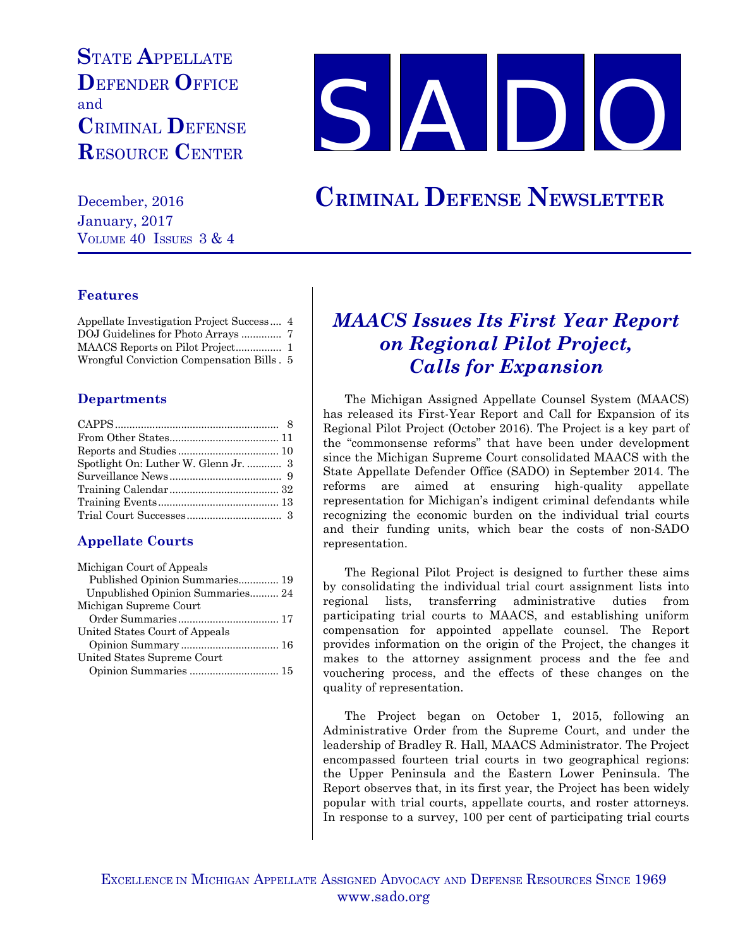# **S**TATE **A**PPELLATE **D**EFENDER **O**FFICE and **C**RIMINAL **D**EFENSE **R**ESOURCE **C**ENTER



December, 2016 **CRIMINAL DEFENSE NEWSLETTER**

January, 2017 VOLUME 40 ISSUES 3 & 4

### **Features**

| Appellate Investigation Project Success 4 |  |
|-------------------------------------------|--|
| DOJ Guidelines for Photo Arrays  7        |  |
|                                           |  |
| Wrongful Conviction Compensation Bills. 5 |  |

### **Departments**

| Spotlight On: Luther W. Glenn Jr.  3 |  |
|--------------------------------------|--|
|                                      |  |
|                                      |  |
|                                      |  |
|                                      |  |
|                                      |  |

## **Appellate Courts**

| Michigan Court of Appeals        |  |
|----------------------------------|--|
| Published Opinion Summaries 19   |  |
| Unpublished Opinion Summaries 24 |  |
| Michigan Supreme Court           |  |
|                                  |  |
| United States Court of Appeals   |  |
|                                  |  |
| United States Supreme Court      |  |
| Opinion Summaries  15            |  |
|                                  |  |

## *MAACS Issues Its First Year Report on Regional Pilot Project, Calls for Expansion*

The Michigan Assigned Appellate Counsel System (MAACS) has released its First-Year Report and Call for Expansion of its Regional Pilot Project (October 2016). The Project is a key part of the "commonsense reforms" that have been under development since the Michigan Supreme Court consolidated MAACS with the State Appellate Defender Office (SADO) in September 2014. The reforms are aimed at ensuring high-quality appellate representation for Michigan's indigent criminal defendants while recognizing the economic burden on the individual trial courts and their funding units, which bear the costs of non-SADO representation.

The Regional Pilot Project is designed to further these aims by consolidating the individual trial court assignment lists into regional lists, transferring administrative duties from participating trial courts to MAACS, and establishing uniform compensation for appointed appellate counsel. The Report provides information on the origin of the Project, the changes it makes to the attorney assignment process and the fee and vouchering process, and the effects of these changes on the quality of representation.

The Project began on October 1, 2015, following an Administrative Order from the Supreme Court, and under the leadership of Bradley R. Hall, MAACS Administrator. The Project encompassed fourteen trial courts in two geographical regions: the Upper Peninsula and the Eastern Lower Peninsula. The Report observes that, in its first year, the Project has been widely popular with trial courts, appellate courts, and roster attorneys. In response to a survey, 100 per cent of participating trial courts